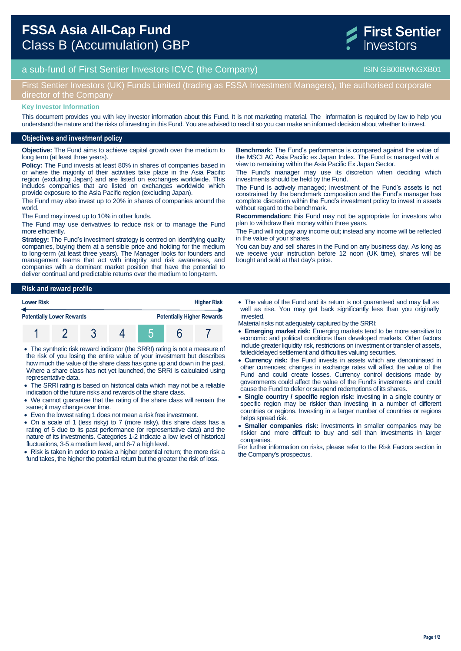

# a sub-fund of First Sentier Investors ICVC (the Company) and the Company ISIN GB00BWNGXB01

## First Sentier Investors (UK) Funds Limited (trading as FSSA Investment Managers), the authorised corporate director of the Company

#### **Key Investor Information**

This document provides you with key investor information about this Fund. It is not marketing material. The information is required by law to help you understand the nature and the risks of investing in this Fund. You are advised to read it so you can make an informed decision about whether to invest.

#### **Objectives and investment policy**

**Objective:** The Fund aims to achieve capital growth over the medium to long term (at least three years).

**Policy:** The Fund invests at least 80% in shares of companies based in or where the majority of their activities take place in the Asia Pacific region (excluding Japan) and are listed on exchanges worldwide. This includes companies that are listed on exchanges worldwide which provide exposure to the Asia Pacific region (excluding Japan).

The Fund may also invest up to 20% in shares of companies around the world.

The Fund may invest up to 10% in other funds.

The Fund may use derivatives to reduce risk or to manage the Fund more efficiently.

**Strategy:** The Fund's investment strategy is centred on identifying quality companies, buying them at a sensible price and holding for the medium to long-term (at least three years). The Manager looks for founders and management teams that act with integrity and risk awareness, and companies with a dominant market position that have the potential to deliver continual and predictable returns over the medium to long-term.

**Benchmark:** The Fund's performance is compared against the value of the MSCI AC Asia Pacific ex Japan Index. The Fund is managed with a view to remaining within the Asia Pacific Ex Japan Sector.

The Fund's manager may use its discretion when deciding which investments should be held by the Fund.

The Fund is actively managed; investment of the Fund's assets is not constrained by the benchmark composition and the Fund's manager has complete discretion within the Fund's investment policy to invest in assets without regard to the benchmark.

**Recommendation:** this Fund may not be appropriate for investors who plan to withdraw their money within three years.

The Fund will not pay any income out; instead any income will be reflected in the value of your shares.

You can buy and sell shares in the Fund on any business day. As long as we receive your instruction before 12 noon (UK time), shares will be bought and sold at that day's price.

### **Risk and reward profile**



 The synthetic risk reward indicator (the SRRI) rating is not a measure of the risk of you losing the entire value of your investment but describes how much the value of the share class has gone up and down in the past. Where a share class has not yet launched, the SRRI is calculated using representative data.

- The SRRI rating is based on historical data which may not be a reliable indication of the future risks and rewards of the share class.
- We cannot guarantee that the rating of the share class will remain the same; it may change over time.
- Even the lowest rating 1 does not mean a risk free investment.
- On a scale of 1 (less risky) to 7 (more risky), this share class has a rating of 5 due to its past performance (or representative data) and the nature of its investments. Categories 1-2 indicate a low level of historical fluctuations, 3-5 a medium level, and 6-7 a high level.
- Risk is taken in order to make a higher potential return; the more risk a fund takes, the higher the potential return but the greater the risk of loss.
- The value of the Fund and its return is not guaranteed and may fall as well as rise. You may get back significantly less than you originally invested.
- Material risks not adequately captured by the SRRI:
- **Emerging market risk:** Emerging markets tend to be more sensitive to economic and political conditions than developed markets. Other factors include greater liquidity risk, restrictions on investment or transfer of assets, failed/delayed settlement and difficulties valuing securities.
- **Currency risk:** the Fund invests in assets which are denominated in other currencies; changes in exchange rates will affect the value of the Fund and could create losses. Currency control decisions made by governments could affect the value of the Fund's investments and could cause the Fund to defer or suspend redemptions of its shares.
- **Single country / specific region risk:** investing in a single country or specific region may be riskier than investing in a number of different countries or regions. Investing in a larger number of countries or regions helps spread risk.
- **Smaller companies risk:** investments in smaller companies may be riskier and more difficult to buy and sell than investments in larger companies.

For further information on risks, please refer to the Risk Factors section in the Company's prospectus.